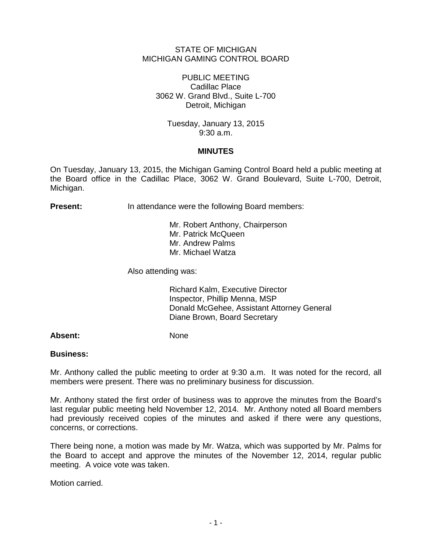### STATE OF MICHIGAN MICHIGAN GAMING CONTROL BOARD

## PUBLIC MEETING Cadillac Place 3062 W. Grand Blvd., Suite L-700 Detroit, Michigan

Tuesday, January 13, 2015 9:30 a.m.

# **MINUTES**

On Tuesday, January 13, 2015, the Michigan Gaming Control Board held a public meeting at the Board office in the Cadillac Place, 3062 W. Grand Boulevard, Suite L-700, Detroit, Michigan.

**Present:** In attendance were the following Board members:

Mr. Robert Anthony, Chairperson Mr. Patrick McQueen Mr. Andrew Palms Mr. Michael Watza

Also attending was:

Richard Kalm, Executive Director Inspector, Phillip Menna, MSP Donald McGehee, Assistant Attorney General Diane Brown, Board Secretary

Absent: None

### **Business:**

Mr. Anthony called the public meeting to order at 9:30 a.m. It was noted for the record, all members were present. There was no preliminary business for discussion.

Mr. Anthony stated the first order of business was to approve the minutes from the Board's last regular public meeting held November 12, 2014. Mr. Anthony noted all Board members had previously received copies of the minutes and asked if there were any questions, concerns, or corrections.

There being none, a motion was made by Mr. Watza, which was supported by Mr. Palms for the Board to accept and approve the minutes of the November 12, 2014, regular public meeting. A voice vote was taken.

Motion carried.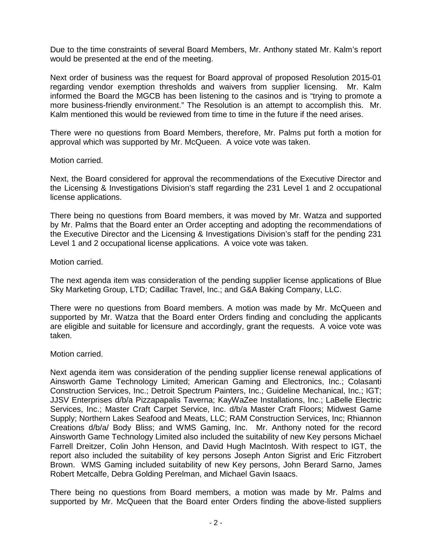Due to the time constraints of several Board Members, Mr. Anthony stated Mr. Kalm's report would be presented at the end of the meeting.

Next order of business was the request for Board approval of proposed Resolution 2015-01 regarding vendor exemption thresholds and waivers from supplier licensing. Mr. Kalm informed the Board the MGCB has been listening to the casinos and is "trying to promote a more business-friendly environment." The Resolution is an attempt to accomplish this. Mr. Kalm mentioned this would be reviewed from time to time in the future if the need arises.

There were no questions from Board Members, therefore, Mr. Palms put forth a motion for approval which was supported by Mr. McQueen. A voice vote was taken.

### Motion carried.

Next, the Board considered for approval the recommendations of the Executive Director and the Licensing & Investigations Division's staff regarding the 231 Level 1 and 2 occupational license applications.

There being no questions from Board members, it was moved by Mr. Watza and supported by Mr. Palms that the Board enter an Order accepting and adopting the recommendations of the Executive Director and the Licensing & Investigations Division's staff for the pending 231 Level 1 and 2 occupational license applications. A voice vote was taken.

### Motion carried.

The next agenda item was consideration of the pending supplier license applications of Blue Sky Marketing Group, LTD; Cadillac Travel, Inc.; and G&A Baking Company, LLC.

There were no questions from Board members. A motion was made by Mr. McQueen and supported by Mr. Watza that the Board enter Orders finding and concluding the applicants are eligible and suitable for licensure and accordingly, grant the requests. A voice vote was taken.

### Motion carried.

Next agenda item was consideration of the pending supplier license renewal applications of Ainsworth Game Technology Limited; American Gaming and Electronics, Inc.; Colasanti Construction Services, Inc.; Detroit Spectrum Painters, Inc.; Guideline Mechanical, Inc.; IGT; JJSV Enterprises d/b/a Pizzapapalis Taverna; KayWaZee Installations, Inc.; LaBelle Electric Services, Inc.; Master Craft Carpet Service, Inc. d/b/a Master Craft Floors; Midwest Game Supply; Northern Lakes Seafood and Meats, LLC; RAM Construction Services, Inc; Rhiannon Creations d/b/a/ Body Bliss; and WMS Gaming, Inc. Mr. Anthony noted for the record Ainsworth Game Technology Limited also included the suitability of new Key persons Michael Farrell Dreitzer, Colin John Henson, and David Hugh MacIntosh. With respect to IGT, the report also included the suitability of key persons Joseph Anton Sigrist and Eric Fitzrobert Brown. WMS Gaming included suitability of new Key persons, John Berard Sarno, James Robert Metcalfe, Debra Golding Perelman, and Michael Gavin Isaacs.

There being no questions from Board members, a motion was made by Mr. Palms and supported by Mr. McQueen that the Board enter Orders finding the above-listed suppliers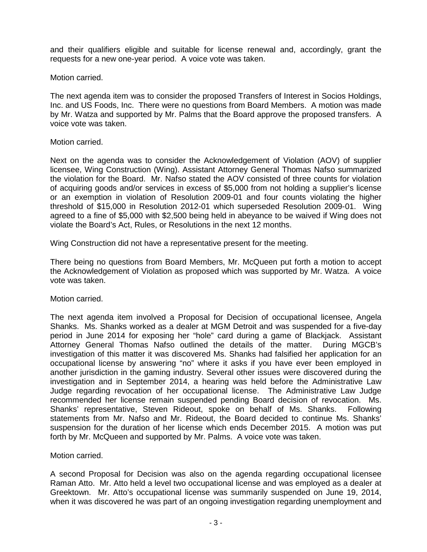and their qualifiers eligible and suitable for license renewal and, accordingly, grant the requests for a new one-year period. A voice vote was taken.

### Motion carried.

The next agenda item was to consider the proposed Transfers of Interest in Socios Holdings, Inc. and US Foods, Inc. There were no questions from Board Members. A motion was made by Mr. Watza and supported by Mr. Palms that the Board approve the proposed transfers. A voice vote was taken.

# Motion carried.

Next on the agenda was to consider the Acknowledgement of Violation (AOV) of supplier licensee, Wing Construction (Wing). Assistant Attorney General Thomas Nafso summarized the violation for the Board. Mr. Nafso stated the AOV consisted of three counts for violation of acquiring goods and/or services in excess of \$5,000 from not holding a supplier's license or an exemption in violation of Resolution 2009-01 and four counts violating the higher threshold of \$15,000 in Resolution 2012-01 which superseded Resolution 2009-01. Wing agreed to a fine of \$5,000 with \$2,500 being held in abeyance to be waived if Wing does not violate the Board's Act, Rules, or Resolutions in the next 12 months.

Wing Construction did not have a representative present for the meeting.

There being no questions from Board Members, Mr. McQueen put forth a motion to accept the Acknowledgement of Violation as proposed which was supported by Mr. Watza. A voice vote was taken.

### Motion carried.

The next agenda item involved a Proposal for Decision of occupational licensee, Angela Shanks. Ms. Shanks worked as a dealer at MGM Detroit and was suspended for a five-day period in June 2014 for exposing her "hole" card during a game of Blackjack. Assistant Attorney General Thomas Nafso outlined the details of the matter. During MGCB's investigation of this matter it was discovered Ms. Shanks had falsified her application for an occupational license by answering "no" where it asks if you have ever been employed in another jurisdiction in the gaming industry. Several other issues were discovered during the investigation and in September 2014, a hearing was held before the Administrative Law Judge regarding revocation of her occupational license. The Administrative Law Judge recommended her license remain suspended pending Board decision of revocation. Ms. Shanks' representative, Steven Rideout, spoke on behalf of Ms. Shanks. Following statements from Mr. Nafso and Mr. Rideout, the Board decided to continue Ms. Shanks' suspension for the duration of her license which ends December 2015. A motion was put forth by Mr. McQueen and supported by Mr. Palms. A voice vote was taken.

Motion carried.

A second Proposal for Decision was also on the agenda regarding occupational licensee Raman Atto. Mr. Atto held a level two occupational license and was employed as a dealer at Greektown. Mr. Atto's occupational license was summarily suspended on June 19, 2014, when it was discovered he was part of an ongoing investigation regarding unemployment and